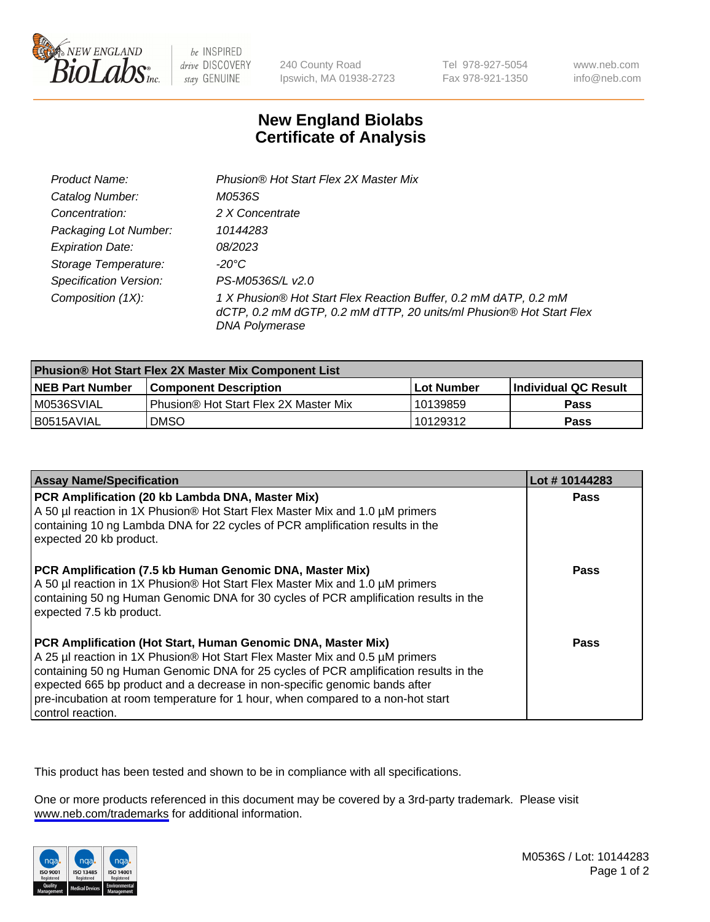

be INSPIRED drive DISCOVERY stay GENUINE

240 County Road Ipswich, MA 01938-2723 Tel 978-927-5054 Fax 978-921-1350

www.neb.com info@neb.com

## **New England Biolabs Certificate of Analysis**

| Product Name:                 | Phusion® Hot Start Flex 2X Master Mix                                                                                                                     |
|-------------------------------|-----------------------------------------------------------------------------------------------------------------------------------------------------------|
| Catalog Number:               | M0536S                                                                                                                                                    |
| Concentration:                | 2 X Concentrate                                                                                                                                           |
| Packaging Lot Number:         | 10144283                                                                                                                                                  |
| <b>Expiration Date:</b>       | 08/2023                                                                                                                                                   |
| Storage Temperature:          | -20°C                                                                                                                                                     |
| <b>Specification Version:</b> | PS-M0536S/L v2.0                                                                                                                                          |
| Composition (1X):             | 1 X Phusion® Hot Start Flex Reaction Buffer, 0.2 mM dATP, 0.2 mM<br>dCTP, 0.2 mM dGTP, 0.2 mM dTTP, 20 units/ml Phusion® Hot Start Flex<br>DNA Polymerase |

| <b>Phusion® Hot Start Flex 2X Master Mix Component List</b> |                                              |            |                      |  |
|-------------------------------------------------------------|----------------------------------------------|------------|----------------------|--|
| <b>NEB Part Number</b>                                      | <b>Component Description</b>                 | Lot Number | Individual QC Result |  |
| M0536SVIAL                                                  | <b>Phusion® Hot Start Flex 2X Master Mix</b> | l 10139859 | <b>Pass</b>          |  |
| I B0515AVIAL                                                | <b>DMSO</b>                                  | 10129312   | <b>Pass</b>          |  |

| <b>Assay Name/Specification</b>                                                                                                                                                                                                                                                                                                                                                                                            | Lot #10144283 |
|----------------------------------------------------------------------------------------------------------------------------------------------------------------------------------------------------------------------------------------------------------------------------------------------------------------------------------------------------------------------------------------------------------------------------|---------------|
| PCR Amplification (20 kb Lambda DNA, Master Mix)<br>A 50 µl reaction in 1X Phusion® Hot Start Flex Master Mix and 1.0 µM primers<br>containing 10 ng Lambda DNA for 22 cycles of PCR amplification results in the<br>expected 20 kb product.                                                                                                                                                                               | <b>Pass</b>   |
| PCR Amplification (7.5 kb Human Genomic DNA, Master Mix)<br>A 50 µl reaction in 1X Phusion® Hot Start Flex Master Mix and 1.0 µM primers<br>containing 50 ng Human Genomic DNA for 30 cycles of PCR amplification results in the<br>expected 7.5 kb product.                                                                                                                                                               | Pass          |
| PCR Amplification (Hot Start, Human Genomic DNA, Master Mix)<br>A 25 µl reaction in 1X Phusion® Hot Start Flex Master Mix and 0.5 µM primers<br>containing 50 ng Human Genomic DNA for 25 cycles of PCR amplification results in the<br>expected 665 bp product and a decrease in non-specific genomic bands after<br>pre-incubation at room temperature for 1 hour, when compared to a non-hot start<br>control reaction. | Pass          |

This product has been tested and shown to be in compliance with all specifications.

One or more products referenced in this document may be covered by a 3rd-party trademark. Please visit <www.neb.com/trademarks>for additional information.